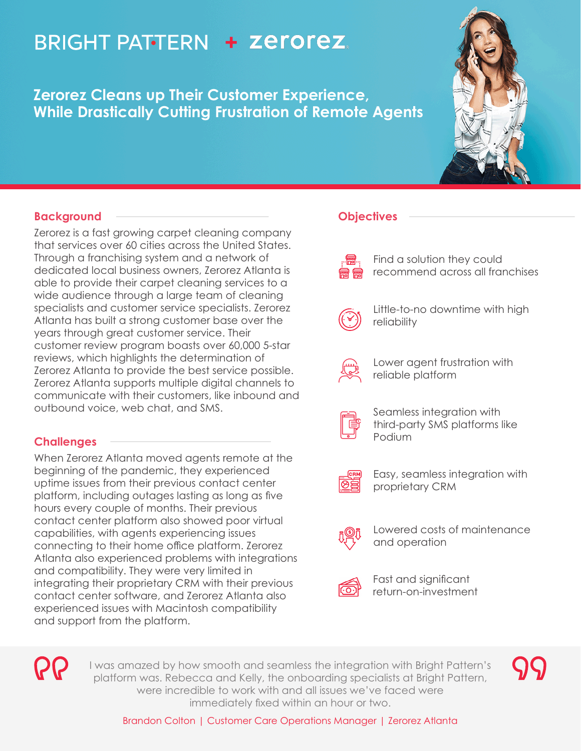# **BRIGHT PATTERN + Zerorez**

**Zerorez Cleans up Their Customer Experience, While Drastically Cutting Frustration of Remote Agents**



## **Background**

Zerorez is a fast growing carpet cleaning company that services over 60 cities across the United States. Through a franchising system and a network of dedicated local business owners, Zerorez Atlanta is able to provide their carpet cleaning services to a wide audience through a large team of cleaning specialists and customer service specialists. Zerorez Atlanta has built a strong customer base over the years through great customer service. Their customer review program boasts over 60,000 5-star reviews, which highlights the determination of Zerorez Atlanta to provide the best service possible. Zerorez Atlanta supports multiple digital channels to communicate with their customers, like inbound and outbound voice, web chat, and SMS.

## **Challenges**

When Zerorez Atlanta moved agents remote at the beginning of the pandemic, they experienced uptime issues from their previous contact center platform, including outages lasting as long as five hours every couple of months. Their previous contact center platform also showed poor virtual capabilities, with agents experiencing issues connecting to their home office platform. Zerorez Atlanta also experienced problems with integrations and compatibility. They were very limited in integrating their proprietary CRM with their previous contact center software, and Zerorez Atlanta also experienced issues with Macintosh compatibility and support from the platform.

# **Objectives**

Find a solution they could recommend across all franchises

Little-to-no downtime with high reliability



Lower agent frustration with reliable platform



Seamless integration with third-party SMS platforms like Podium



Easy, seamless integration with proprietary CRM



Lowered costs of maintenance and operation



Fast and significant return-on-investment



I was amazed by how smooth and seamless the integration with Bright Pattern's platform was. Rebecca and Kelly, the onboarding specialists at Bright Pattern, were incredible to work with and all issues we've faced were immediately fixed within an hour or two.

Brandon Colton | Customer Care Operations Manager | Zerorez Atlanta